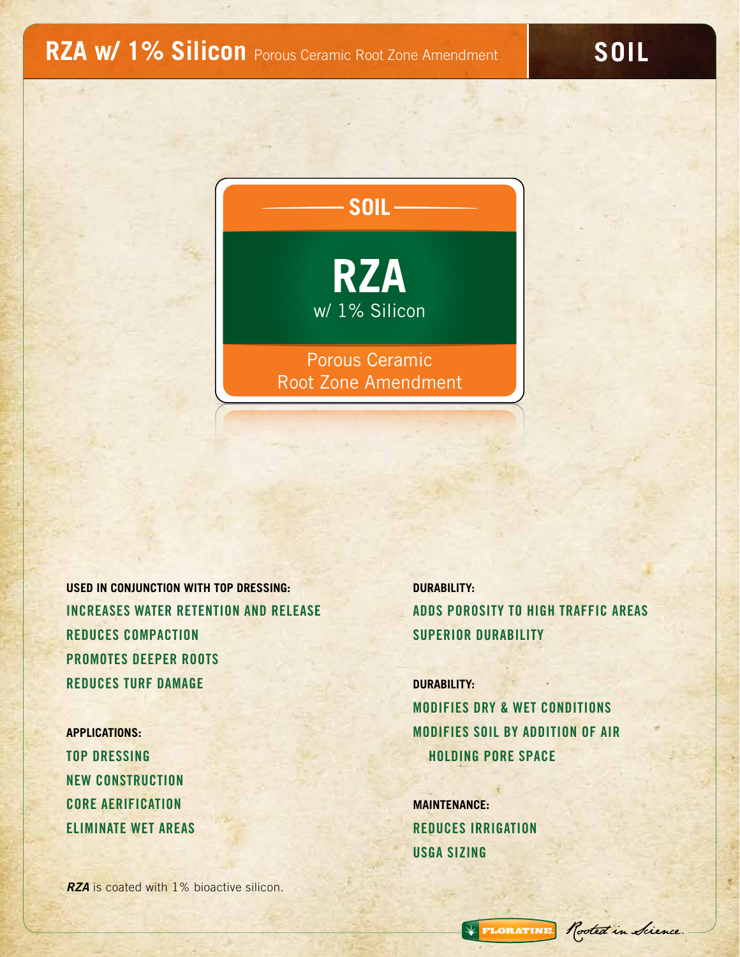**SOIL**



**USED IN CONJUNCTION WITH TOP DRESSING: DURABILITY:** INCREASES WATER RETENTION AND RELEASE ADDS POROSITY TO HIGH TRAFFIC AREAS REDUCES COMPACTION SUPERIOR DURABILITY PROMOTES DEEPER ROOTS **REDUCES TURF DAMAGE DURABILITY:** 

NEW CONSTRUCTION CORE AERIFICATION **MAINTENANCE:** ELIMINATE WET AREAS REDUCES IRRIGATION

*RZA* is coated with 1% bioactive silicon.

MODIFIES DRY & WET CONDITIONS **APPLICATIONS:** MODIFIES SOIL BY ADDITION OF AIR TOP DRESSING HOLDING PORE SPACE

USGA SIZING